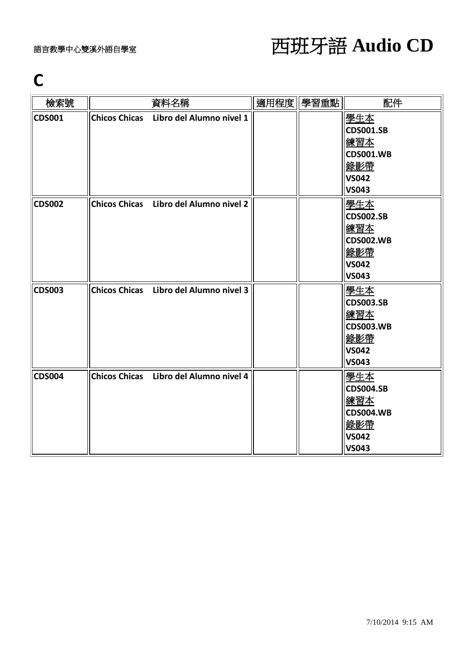### **C**

| 檢索號           | 資料名稱                                   | 適用程度 學習重點 | 配件                                                                                        |
|---------------|----------------------------------------|-----------|-------------------------------------------------------------------------------------------|
| CDS001        | Chicos Chicas Libro del Alumno nivel 1 |           | 學生本<br><b>CDS001.SB</b><br>練習本<br><b>CDS001.WB</b><br>錄影帶<br><b>VS042</b><br><b>VS043</b> |
| <b>CDS002</b> | Chicos Chicas Libro del Alumno nivel 2 |           | 學生本<br><b>CDS002.SB</b><br>練習本<br><b>CDS002.WB</b><br>錄影帶<br><b>VS042</b><br><b>VS043</b> |
| CDS003        | Chicos Chicas Libro del Alumno nivel 3 |           | 學生本<br><b>CDS003.SB</b><br>練習本<br><b>CDS003.WB</b><br>錄影帶<br><b>VS042</b><br><b>VS043</b> |
| CDS004        | Chicos Chicas Libro del Alumno nivel 4 |           | 學生本<br><b>CDS004.SB</b><br>練習本<br><b>CDS004.WB</b><br>錄影帶<br><b>VS042</b><br><b>VS043</b> |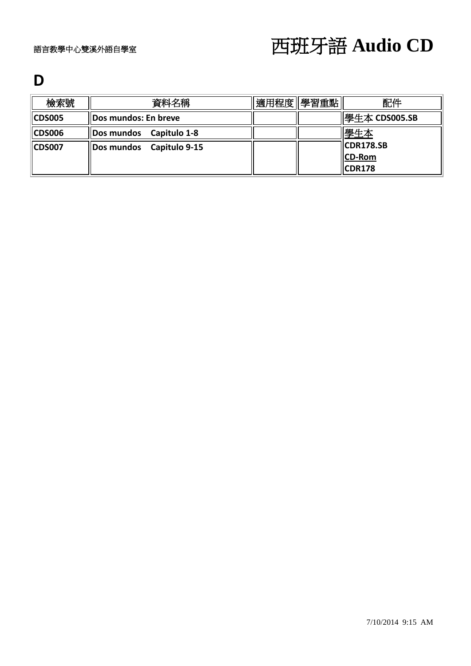#### **D**

| 檢索號    | 資料名稱                     | 適用程度 學習重點 | 配件                         |
|--------|--------------------------|-----------|----------------------------|
| CDS005 | Dos mundos: En breve     |           | 學生本 CDS005.SB              |
| CDS006 | Dos mundos Capitulo 1-8  |           | 學生本                        |
| CDS007 | Dos mundos Capitulo 9-15 |           | <b>CDR178.SB</b><br>CD-Rom |
|        |                          |           | <b>CDR178</b>              |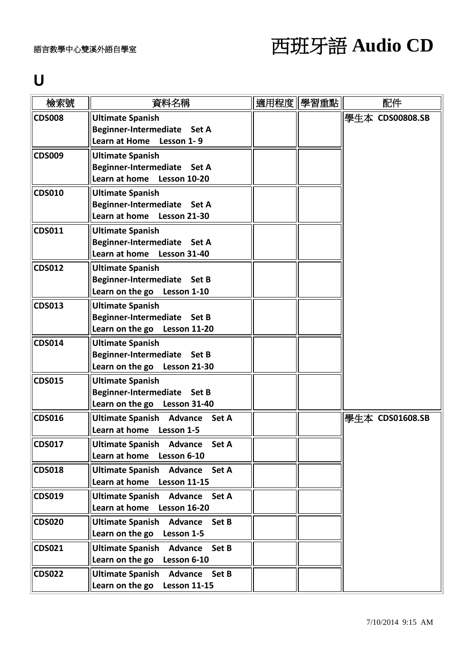#### **U**

| 檢索號           | 資料名稱                                                      | 適用程度 | 學習重點 | 配件              |
|---------------|-----------------------------------------------------------|------|------|-----------------|
| <b>CDS008</b> | <b>Ultimate Spanish</b><br>Beginner-Intermediate Set A    |      |      | 學生本 CDS00808.SB |
|               | Learn at Home Lesson 1-9                                  |      |      |                 |
| <b>CDS009</b> | <b>Ultimate Spanish</b>                                   |      |      |                 |
|               | Beginner-Intermediate Set A                               |      |      |                 |
|               | Learn at home Lesson 10-20                                |      |      |                 |
| <b>CDS010</b> | <b>Ultimate Spanish</b>                                   |      |      |                 |
|               | Beginner-Intermediate Set A                               |      |      |                 |
|               | Learn at home Lesson 21-30                                |      |      |                 |
| <b>CDS011</b> | <b>Ultimate Spanish</b>                                   |      |      |                 |
|               | Beginner-Intermediate Set A<br>Learn at home Lesson 31-40 |      |      |                 |
| <b>CDS012</b> | <b>Ultimate Spanish</b>                                   |      |      |                 |
|               | Beginner-Intermediate Set B                               |      |      |                 |
|               | Learn on the go Lesson 1-10                               |      |      |                 |
| <b>CDS013</b> | <b>Ultimate Spanish</b>                                   |      |      |                 |
|               | Beginner-Intermediate Set B                               |      |      |                 |
|               | Learn on the go Lesson 11-20                              |      |      |                 |
| <b>CDS014</b> | <b>Ultimate Spanish</b>                                   |      |      |                 |
|               | Beginner-Intermediate Set B                               |      |      |                 |
|               | Learn on the go Lesson 21-30                              |      |      |                 |
| <b>CDS015</b> | <b>Ultimate Spanish</b>                                   |      |      |                 |
|               | Beginner-Intermediate Set B                               |      |      |                 |
|               | Learn on the go Lesson 31-40                              |      |      |                 |
| <b>CDS016</b> | <b>Ultimate Spanish Advance</b><br>Set A                  |      |      | 學牛本 CDS01608.SB |
|               | Learn at home Lesson 1-5                                  |      |      |                 |
| <b>CDS017</b> | Ultimate Spanish Advance<br>Set A                         |      |      |                 |
|               | Learn at home<br>Lesson 6-10                              |      |      |                 |
| <b>CDS018</b> | <b>Ultimate Spanish</b><br><b>Advance</b><br>Set A        |      |      |                 |
|               | Learn at home<br><b>Lesson 11-15</b>                      |      |      |                 |
| <b>CDS019</b> | Ultimate Spanish Advance Set A                            |      |      |                 |
|               | Learn at home<br><b>Lesson 16-20</b>                      |      |      |                 |
| <b>CDS020</b> | <b>Ultimate Spanish</b><br><b>Advance</b><br>Set B        |      |      |                 |
|               | Learn on the go<br>Lesson 1-5                             |      |      |                 |
| <b>CDS021</b> | <b>Ultimate Spanish</b><br><b>Advance</b><br>Set B        |      |      |                 |
|               | Learn on the go<br>Lesson 6-10                            |      |      |                 |
| <b>CDS022</b> | <b>Ultimate Spanish</b><br><b>Advance</b><br>Set B        |      |      |                 |
|               | Learn on the go<br><b>Lesson 11-15</b>                    |      |      |                 |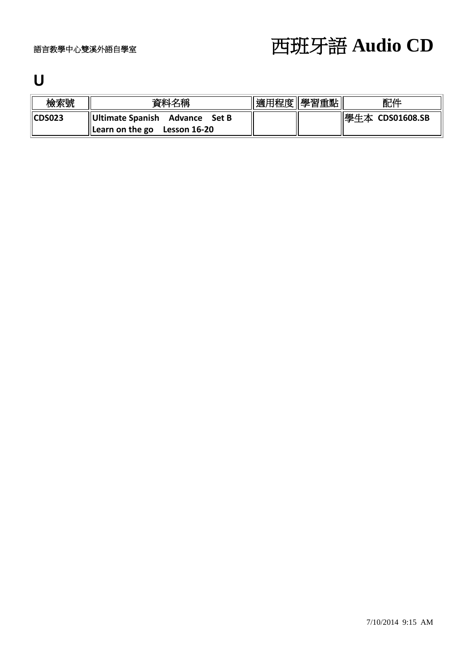### **U**

| 檢索號           | 資料名稱                                                                                 | 適用程度   學習重點 | 配件              |
|---------------|--------------------------------------------------------------------------------------|-------------|-----------------|
| <b>CDS023</b> | <b>Ultimate Spanish Advance</b><br>Set B<br>$\parallel$ Learn on the go Lesson 16-20 |             | 學生本 CDS01608.SB |